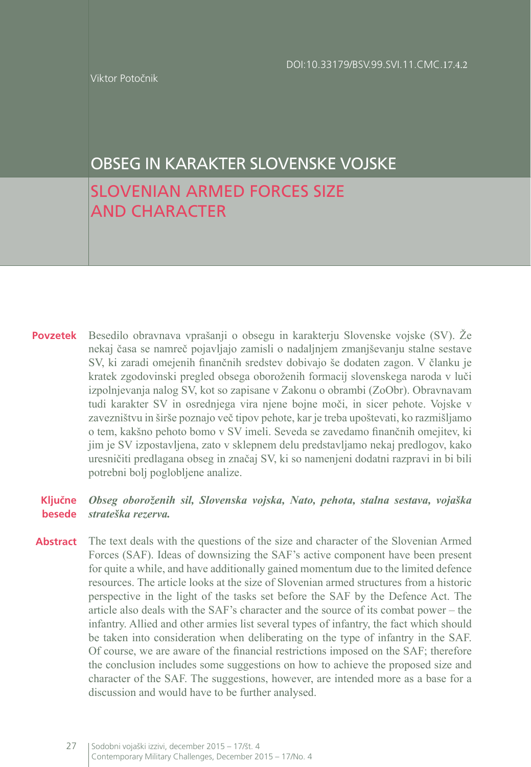Viktor Potočnik

# OBSEG IN KARAKTER SLOVENSKE VOJSKE

# SLOVENIAN ARMED FORCES SIZE AND CHARACTER

**Povzetek** Besedilo obravnava vprašanji o obsegu in karakterju Slovenske vojske (SV). Že nekaj časa se namreč pojavljajo zamisli o nadaljnjem zmanjševanju stalne sestave SV, ki zaradi omejenih finančnih sredstev dobivajo še dodaten zagon. V članku je kratek zgodovinski pregled obsega oboroženih formacij slovenskega naroda v luči izpolnjevanja nalog SV, kot so zapisane v Zakonu o obrambi (ZoObr). Obravnavam tudi karakter SV in osrednjega vira njene bojne moči, in sicer pehote. Vojske v zavezništvu in širše poznajo več tipov pehote, kar je treba upoštevati, ko razmišljamo o tem, kakšno pehoto bomo v SV imeli. Seveda se zavedamo finančnih omejitev, ki jim je SV izpostavljena, zato v sklepnem delu predstavljamo nekaj predlogov, kako uresničiti predlagana obseg in značaj SV, ki so namenjeni dodatni razpravi in bi bili potrebni bolj poglobljene analize.

#### **Ključne besede** *Obseg oboroženih sil, Slovenska vojska, Nato, pehota, stalna sestava, vojaška strateška rezerva.*

**Abstract** The text deals with the questions of the size and character of the Slovenian Armed Forces (SAF). Ideas of downsizing the SAF's active component have been present for quite a while, and have additionally gained momentum due to the limited defence resources. The article looks at the size of Slovenian armed structures from a historic perspective in the light of the tasks set before the SAF by the Defence Act. The article also deals with the SAF's character and the source of its combat power – the infantry. Allied and other armies list several types of infantry, the fact which should be taken into consideration when deliberating on the type of infantry in the SAF. Of course, we are aware of the financial restrictions imposed on the SAF; therefore the conclusion includes some suggestions on how to achieve the proposed size and character of the SAF. The suggestions, however, are intended more as a base for a discussion and would have to be further analysed.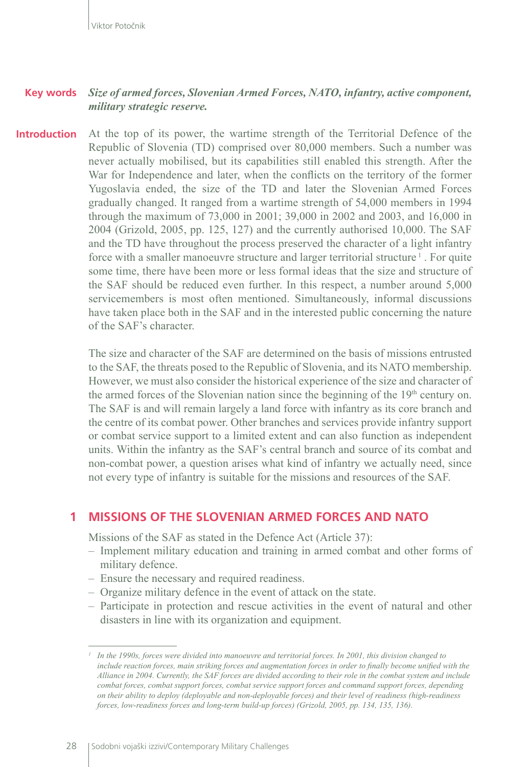#### *Size of armed forces, Slovenian Armed Forces, NATO, infantry, active component, military strategic reserve.* **Key words**

At the top of its power, the wartime strength of the Territorial Defence of the Republic of Slovenia (TD) comprised over 80,000 members. Such a number was never actually mobilised, but its capabilities still enabled this strength. After the War for Independence and later, when the conflicts on the territory of the former Yugoslavia ended, the size of the TD and later the Slovenian Armed Forces gradually changed. It ranged from a wartime strength of 54,000 members in 1994 through the maximum of 73,000 in 2001; 39,000 in 2002 and 2003, and 16,000 in 2004 (Grizold, 2005, pp. 125, 127) and the currently authorised 10,000. The SAF and the TD have throughout the process preserved the character of a light infantry force with a smaller manoeuvre structure and larger territorial structure<sup>1</sup>. For quite some time, there have been more or less formal ideas that the size and structure of the SAF should be reduced even further. In this respect, a number around 5,000 servicemembers is most often mentioned. Simultaneously, informal discussions have taken place both in the SAF and in the interested public concerning the nature of the SAF's character. **Introduction**

> The size and character of the SAF are determined on the basis of missions entrusted to the SAF, the threats posed to the Republic of Slovenia, and its NATO membership. However, we must also consider the historical experience of the size and character of the armed forces of the Slovenian nation since the beginning of the  $19<sup>th</sup>$  century on. The SAF is and will remain largely a land force with infantry as its core branch and the centre of its combat power. Other branches and services provide infantry support or combat service support to a limited extent and can also function as independent units. Within the infantry as the SAF's central branch and source of its combat and non-combat power, a question arises what kind of infantry we actually need, since not every type of infantry is suitable for the missions and resources of the SAF.

### **1 MISSIONS OF THE SLOVENIAN ARMED FORCES AND NATO**

Missions of the SAF as stated in the Defence Act (Article 37):

- Implement military education and training in armed combat and other forms of military defence.
- Ensure the necessary and required readiness.
- Organize military defence in the event of attack on the state.
- Participate in protection and rescue activities in the event of natural and other disasters in line with its organization and equipment.

*<sup>1</sup> In the 1990s, forces were divided into manoeuvre and territorial forces. In 2001, this division changed to include reaction forces, main striking forces and augmentation forces in order to finally become unified with the Alliance in 2004. Currently, the SAF forces are divided according to their role in the combat system and include combat forces, combat support forces, combat service support forces and command support forces, depending on their ability to deploy (deployable and non-deployable forces) and their level of readiness (high-readiness forces, low-readiness forces and long-term build-up forces) (Grizold, 2005, pp. 134, 135, 136).*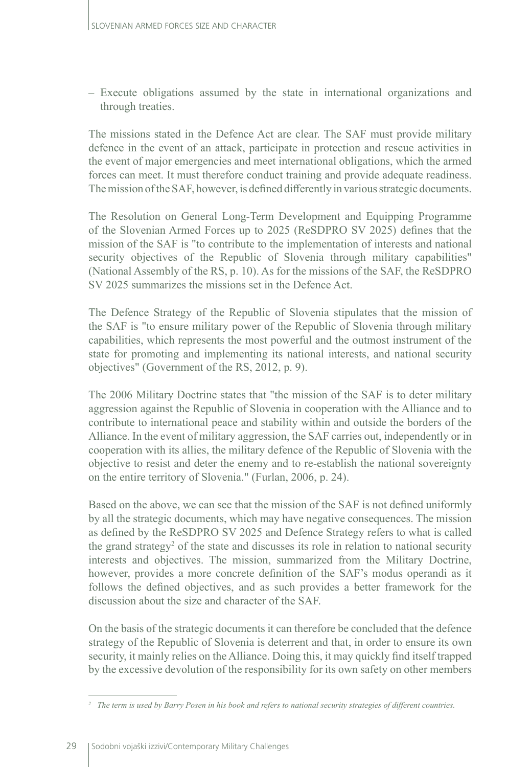– Execute obligations assumed by the state in international organizations and through treaties.

The missions stated in the Defence Act are clear. The SAF must provide military defence in the event of an attack, participate in protection and rescue activities in the event of major emergencies and meet international obligations, which the armed forces can meet. It must therefore conduct training and provide adequate readiness. The mission of the SAF, however, is defined differently in various strategic documents.

The Resolution on General Long-Term Development and Equipping Programme of the Slovenian Armed Forces up to 2025 (ReSDPRO SV 2025) defines that the mission of the SAF is "to contribute to the implementation of interests and national security objectives of the Republic of Slovenia through military capabilities" (National Assembly of the RS, p. 10). As for the missions of the SAF, the ReSDPRO SV 2025 summarizes the missions set in the Defence Act.

The Defence Strategy of the Republic of Slovenia stipulates that the mission of the SAF is "to ensure military power of the Republic of Slovenia through military capabilities, which represents the most powerful and the outmost instrument of the state for promoting and implementing its national interests, and national security objectives" (Government of the RS, 2012, p. 9).

The 2006 Military Doctrine states that "the mission of the SAF is to deter military aggression against the Republic of Slovenia in cooperation with the Alliance and to contribute to international peace and stability within and outside the borders of the Alliance. In the event of military aggression, the SAF carries out, independently or in cooperation with its allies, the military defence of the Republic of Slovenia with the objective to resist and deter the enemy and to re-establish the national sovereignty on the entire territory of Slovenia." (Furlan, 2006, p. 24).

Based on the above, we can see that the mission of the SAF is not defined uniformly by all the strategic documents, which may have negative consequences. The mission as defined by the ReSDPRO SV 2025 and Defence Strategy refers to what is called the grand strategy<sup>2</sup> of the state and discusses its role in relation to national security interests and objectives. The mission, summarized from the Military Doctrine, however, provides a more concrete definition of the SAF's modus operandi as it follows the defined objectives, and as such provides a better framework for the discussion about the size and character of the SAF.

On the basis of the strategic documents it can therefore be concluded that the defence strategy of the Republic of Slovenia is deterrent and that, in order to ensure its own security, it mainly relies on the Alliance. Doing this, it may quickly find itself trapped by the excessive devolution of the responsibility for its own safety on other members

*<sup>2</sup> The term is used by Barry Posen in his book and refers to national security strategies of different countries.*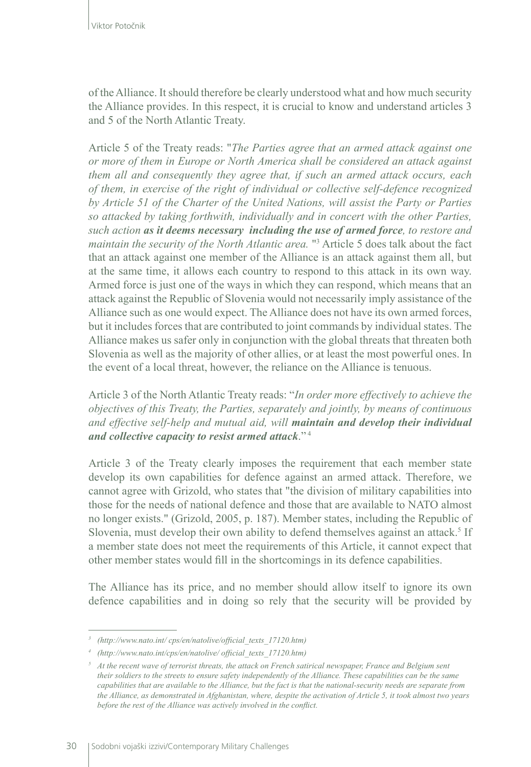of the Alliance. It should therefore be clearly understood what and how much security the Alliance provides. In this respect, it is crucial to know and understand articles 3 and 5 of the North Atlantic Treaty.

Article 5 of the Treaty reads: "*The Parties agree that an armed attack against one or more of them in Europe or North America shall be considered an attack against them all and consequently they agree that, if such an armed attack occurs, each of them, in exercise of the right of individual or collective self-defence recognized by Article 51 of the Charter of the United Nations, will assist the Party or Parties so attacked by taking forthwith, individually and in concert with the other Parties, such action as it deems necessary including the use of armed force, to restore and maintain the security of the North Atlantic area.* "3 Article 5 does talk about the fact that an attack against one member of the Alliance is an attack against them all, but at the same time, it allows each country to respond to this attack in its own way. Armed force is just one of the ways in which they can respond, which means that an attack against the Republic of Slovenia would not necessarily imply assistance of the Alliance such as one would expect. The Alliance does not have its own armed forces, but it includes forces that are contributed to joint commands by individual states. The Alliance makes us safer only in conjunction with the global threats that threaten both Slovenia as well as the majority of other allies, or at least the most powerful ones. In the event of a local threat, however, the reliance on the Alliance is tenuous.

Article 3 of the North Atlantic Treaty reads: "*In order more effectively to achieve the objectives of this Treaty, the Parties, separately and jointly, by means of continuous and effective self-help and mutual aid, will maintain and develop their individual and collective capacity to resist armed attack*." <sup>4</sup>

Article 3 of the Treaty clearly imposes the requirement that each member state develop its own capabilities for defence against an armed attack. Therefore, we cannot agree with Grizold, who states that "the division of military capabilities into those for the needs of national defence and those that are available to NATO almost no longer exists." (Grizold, 2005, p. 187). Member states, including the Republic of Slovenia, must develop their own ability to defend themselves against an attack.<sup>5</sup> If a member state does not meet the requirements of this Article, it cannot expect that other member states would fill in the shortcomings in its defence capabilities.

The Alliance has its price, and no member should allow itself to ignore its own defence capabilities and in doing so rely that the security will be provided by

*<sup>3</sup> (http://www.nato.int/ cps/en/natolive/official\_texts\_17120.htm)*

*<sup>4</sup> (http://www.nato.int/cps/en/natolive/ official\_texts\_17120.htm)* 

*<sup>5</sup> At the recent wave of terrorist threats, the attack on French satirical newspaper, France and Belgium sent their soldiers to the streets to ensure safety independently of the Alliance. These capabilities can be the same capabilities that are available to the Alliance, but the fact is that the national-security needs are separate from the Alliance, as demonstrated in Afghanistan, where, despite the activation of Article 5, it took almost two years before the rest of the Alliance was actively involved in the conflict.*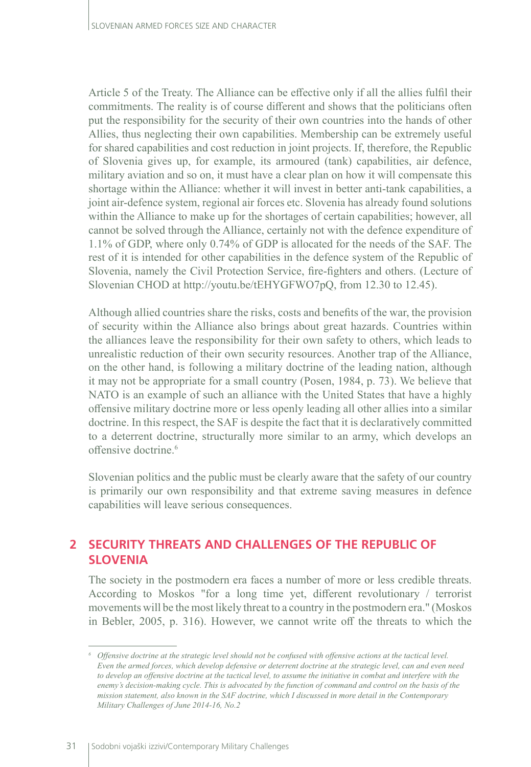Article 5 of the Treaty. The Alliance can be effective only if all the allies fulfil their commitments. The reality is of course different and shows that the politicians often put the responsibility for the security of their own countries into the hands of other Allies, thus neglecting their own capabilities. Membership can be extremely useful for shared capabilities and cost reduction in joint projects. If, therefore, the Republic of Slovenia gives up, for example, its armoured (tank) capabilities, air defence, military aviation and so on, it must have a clear plan on how it will compensate this shortage within the Alliance: whether it will invest in better anti-tank capabilities, a joint air-defence system, regional air forces etc. Slovenia has already found solutions within the Alliance to make up for the shortages of certain capabilities; however, all cannot be solved through the Alliance, certainly not with the defence expenditure of 1.1% of GDP, where only 0.74% of GDP is allocated for the needs of the SAF. The rest of it is intended for other capabilities in the defence system of the Republic of Slovenia, namely the Civil Protection Service, fire-fighters and others. (Lecture of Slovenian CHOD at http://youtu.be/tEHYGFWO7pQ, from 12.30 to 12.45).

Although allied countries share the risks, costs and benefits of the war, the provision of security within the Alliance also brings about great hazards. Countries within the alliances leave the responsibility for their own safety to others, which leads to unrealistic reduction of their own security resources. Another trap of the Alliance, on the other hand, is following a military doctrine of the leading nation, although it may not be appropriate for a small country (Posen, 1984, p. 73). We believe that NATO is an example of such an alliance with the United States that have a highly offensive military doctrine more or less openly leading all other allies into a similar doctrine. In this respect, the SAF is despite the fact that it is declaratively committed to a deterrent doctrine, structurally more similar to an army, which develops an offensive doctrine.6

Slovenian politics and the public must be clearly aware that the safety of our country is primarily our own responsibility and that extreme saving measures in defence capabilities will leave serious consequences.

## **2 SECURITY THREATS AND CHALLENGES OF THE REPUBLIC OF SLOVENIA**

The society in the postmodern era faces a number of more or less credible threats. According to Moskos "for a long time yet, different revolutionary / terrorist movements will be the most likely threat to a country in the postmodern era." (Moskos in Bebler, 2005, p. 316). However, we cannot write off the threats to which the

*<sup>6</sup> Offensive doctrine at the strategic level should not be confused with offensive actions at the tactical level. Even the armed forces, which develop defensive or deterrent doctrine at the strategic level, can and even need to develop an offensive doctrine at the tactical level, to assume the initiative in combat and interfere with the enemy's decision-making cycle. This is advocated by the function of command and control on the basis of the mission statement, also known in the SAF doctrine, which I discussed in more detail in the Contemporary Military Challenges of June 2014-16, No.2*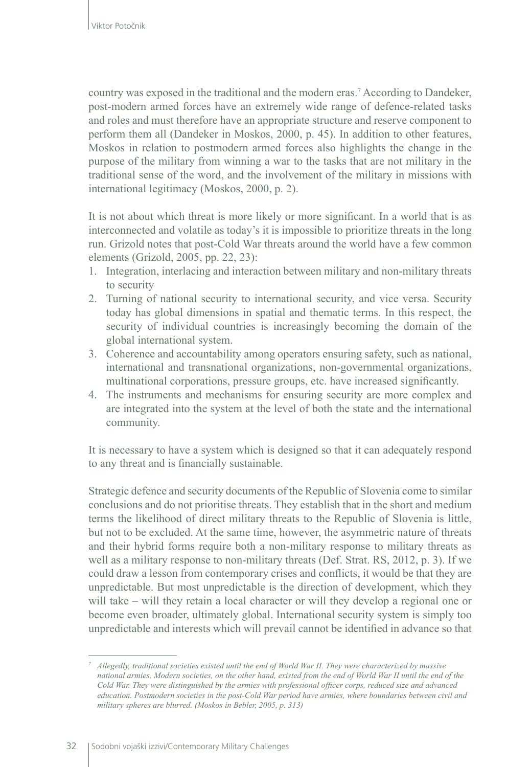country was exposed in the traditional and the modern eras.7 According to Dandeker, post-modern armed forces have an extremely wide range of defence-related tasks and roles and must therefore have an appropriate structure and reserve component to perform them all (Dandeker in Moskos, 2000, p. 45). In addition to other features, Moskos in relation to postmodern armed forces also highlights the change in the purpose of the military from winning a war to the tasks that are not military in the traditional sense of the word, and the involvement of the military in missions with international legitimacy (Moskos, 2000, p. 2).

It is not about which threat is more likely or more significant. In a world that is as interconnected and volatile as today's it is impossible to prioritize threats in the long run. Grizold notes that post-Cold War threats around the world have a few common elements (Grizold, 2005, pp. 22, 23):

- 1. Integration, interlacing and interaction between military and non-military threats to security
- 2. Turning of national security to international security, and vice versa. Security today has global dimensions in spatial and thematic terms. In this respect, the security of individual countries is increasingly becoming the domain of the global international system.
- 3. Coherence and accountability among operators ensuring safety, such as national, international and transnational organizations, non-governmental organizations, multinational corporations, pressure groups, etc. have increased significantly.
- 4. The instruments and mechanisms for ensuring security are more complex and are integrated into the system at the level of both the state and the international community.

It is necessary to have a system which is designed so that it can adequately respond to any threat and is financially sustainable.

Strategic defence and security documents of the Republic of Slovenia come to similar conclusions and do not prioritise threats. They establish that in the short and medium terms the likelihood of direct military threats to the Republic of Slovenia is little, but not to be excluded. At the same time, however, the asymmetric nature of threats and their hybrid forms require both a non-military response to military threats as well as a military response to non-military threats (Def. Strat. RS, 2012, p. 3). If we could draw a lesson from contemporary crises and conflicts, it would be that they are unpredictable. But most unpredictable is the direction of development, which they will take – will they retain a local character or will they develop a regional one or become even broader, ultimately global. International security system is simply too unpredictable and interests which will prevail cannot be identified in advance so that

*<sup>7</sup> Allegedly, traditional societies existed until the end of World War II. They were characterized by massive national armies. Modern societies, on the other hand, existed from the end of World War II until the end of the Cold War. They were distinguished by the armies with professional officer corps, reduced size and advanced education. Postmodern societies in the post-Cold War period have armies, where boundaries between civil and military spheres are blurred. (Moskos in Bebler, 2005, p. 313)*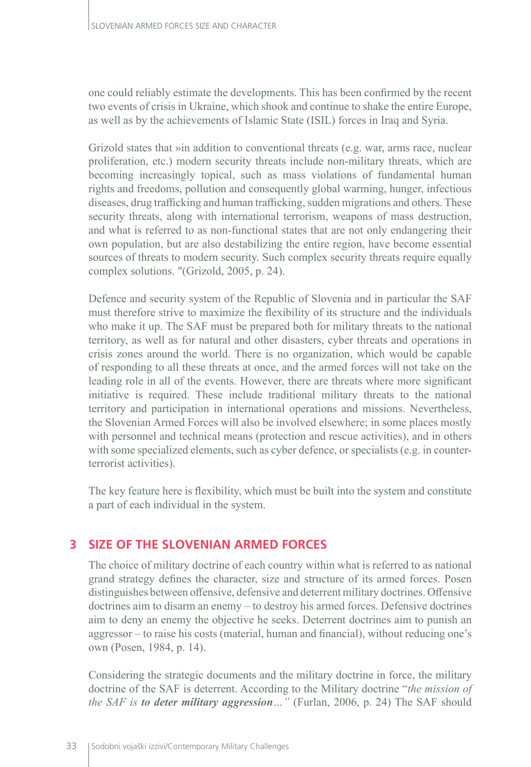one could reliably estimate the developments. This has been confirmed by the recent two events of crisis in Ukraine, which shook and continue to shake the entire Europe, as well as by the achievements of Islamic State (ISIL) forces in Iraq and Syria.

Grizold states that »in addition to conventional threats (e.g. war, arms race, nuclear proliferation, etc.) modern security threats include non-military threats, which are becoming increasingly topical, such as mass violations of fundamental human rights and freedoms, pollution and consequently global warming, hunger, infectious diseases, drug trafficking and human trafficking, sudden migrations and others. These security threats, along with international terrorism, weapons of mass destruction, and what is referred to as non-functional states that are not only endangering their own population, but are also destabilizing the entire region, have become essential sources of threats to modern security. Such complex security threats require equally complex solutions. "(Grizold, 2005, p. 24).

Defence and security system of the Republic of Slovenia and in particular the SAF must therefore strive to maximize the flexibility of its structure and the individuals who make it up. The SAF must be prepared both for military threats to the national territory, as well as for natural and other disasters, cyber threats and operations in crisis zones around the world. There is no organization, which would be capable of responding to all these threats at once, and the armed forces will not take on the leading role in all of the events. However, there are threats where more significant initiative is required. These include traditional military threats to the national territory and participation in international operations and missions. Nevertheless, the Slovenian Armed Forces will also be involved elsewhere; in some places mostly with personnel and technical means (protection and rescue activities), and in others with some specialized elements, such as cyber defence, or specialists (e.g. in counterterrorist activities).

The key feature here is flexibility, which must be built into the system and constitute a part of each individual in the system.

# **3 SIZE OF THE SLOVENIAN ARMED FORCES**

The choice of military doctrine of each country within what is referred to as national grand strategy defines the character, size and structure of its armed forces. Posen distinguishes between offensive, defensive and deterrent military doctrines. Offensive doctrines aim to disarm an enemy – to destroy his armed forces. Defensive doctrines aim to deny an enemy the objective he seeks. Deterrent doctrines aim to punish an aggressor – to raise his costs (material, human and financial), without reducing one's own (Posen, 1984, p. 14).

Considering the strategic documents and the military doctrine in force, the military doctrine of the SAF is deterrent. According to the Military doctrine "*the mission of the SAF is to deter military aggression…"* (Furlan, 2006, p. 24) The SAF should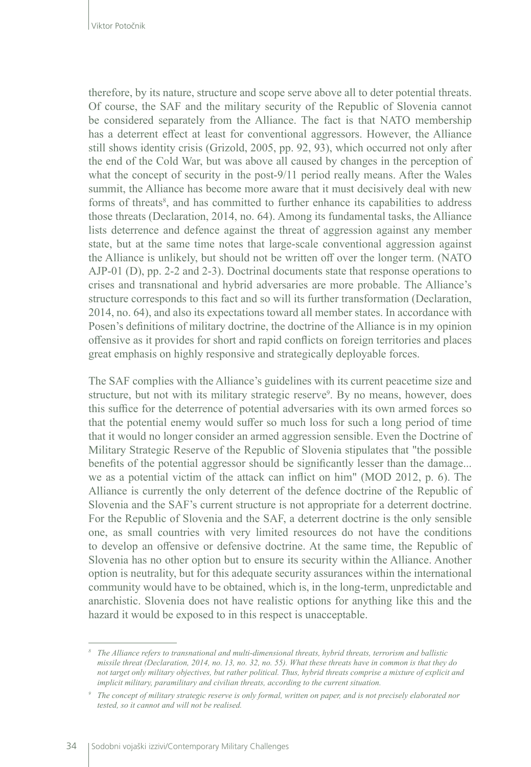therefore, by its nature, structure and scope serve above all to deter potential threats. Of course, the SAF and the military security of the Republic of Slovenia cannot be considered separately from the Alliance. The fact is that NATO membership has a deterrent effect at least for conventional aggressors. However, the Alliance still shows identity crisis (Grizold, 2005, pp. 92, 93), which occurred not only after the end of the Cold War, but was above all caused by changes in the perception of what the concept of security in the post-9/11 period really means. After the Wales summit, the Alliance has become more aware that it must decisively deal with new forms of threats<sup>8</sup>, and has committed to further enhance its capabilities to address those threats (Declaration, 2014, no. 64). Among its fundamental tasks, the Alliance lists deterrence and defence against the threat of aggression against any member state, but at the same time notes that large-scale conventional aggression against the Alliance is unlikely, but should not be written off over the longer term. (NATO AJP-01 (D), pp. 2-2 and 2-3). Doctrinal documents state that response operations to crises and transnational and hybrid adversaries are more probable. The Alliance's structure corresponds to this fact and so will its further transformation (Declaration, 2014, no. 64), and also its expectations toward all member states. In accordance with Posen's definitions of military doctrine, the doctrine of the Alliance is in my opinion offensive as it provides for short and rapid conflicts on foreign territories and places great emphasis on highly responsive and strategically deployable forces.

The SAF complies with the Alliance's guidelines with its current peacetime size and structure, but not with its military strategic reserve<sup>9</sup>. By no means, however, does this suffice for the deterrence of potential adversaries with its own armed forces so that the potential enemy would suffer so much loss for such a long period of time that it would no longer consider an armed aggression sensible. Even the Doctrine of Military Strategic Reserve of the Republic of Slovenia stipulates that "the possible benefits of the potential aggressor should be significantly lesser than the damage... we as a potential victim of the attack can inflict on him" (MOD 2012, p. 6). The Alliance is currently the only deterrent of the defence doctrine of the Republic of Slovenia and the SAF's current structure is not appropriate for a deterrent doctrine. For the Republic of Slovenia and the SAF, a deterrent doctrine is the only sensible one, as small countries with very limited resources do not have the conditions to develop an offensive or defensive doctrine. At the same time, the Republic of Slovenia has no other option but to ensure its security within the Alliance. Another option is neutrality, but for this adequate security assurances within the international community would have to be obtained, which is, in the long-term, unpredictable and anarchistic. Slovenia does not have realistic options for anything like this and the hazard it would be exposed to in this respect is unacceptable.

*<sup>8</sup> The Alliance refers to transnational and multi-dimensional threats, hybrid threats, terrorism and ballistic missile threat (Declaration, 2014, no. 13, no. 32, no. 55). What these threats have in common is that they do not target only military objectives, but rather political. Thus, hybrid threats comprise a mixture of explicit and implicit military, paramilitary and civilian threats, according to the current situation.*

*<sup>9</sup> The concept of military strategic reserve is only formal, written on paper, and is not precisely elaborated nor tested, so it cannot and will not be realised.*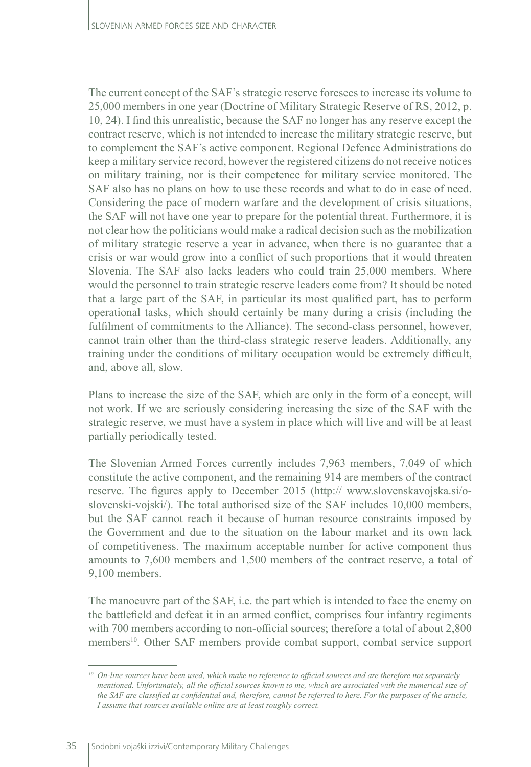The current concept of the SAF's strategic reserve foresees to increase its volume to 25,000 members in one year (Doctrine of Military Strategic Reserve of RS, 2012, p. 10, 24). I find this unrealistic, because the SAF no longer has any reserve except the contract reserve, which is not intended to increase the military strategic reserve, but to complement the SAF's active component. Regional Defence Administrations do keep a military service record, however the registered citizens do not receive notices on military training, nor is their competence for military service monitored. The SAF also has no plans on how to use these records and what to do in case of need. Considering the pace of modern warfare and the development of crisis situations, the SAF will not have one year to prepare for the potential threat. Furthermore, it is not clear how the politicians would make a radical decision such as the mobilization of military strategic reserve a year in advance, when there is no guarantee that a crisis or war would grow into a conflict of such proportions that it would threaten Slovenia. The SAF also lacks leaders who could train 25,000 members. Where would the personnel to train strategic reserve leaders come from? It should be noted that a large part of the SAF, in particular its most qualified part, has to perform operational tasks, which should certainly be many during a crisis (including the fulfilment of commitments to the Alliance). The second-class personnel, however, cannot train other than the third-class strategic reserve leaders. Additionally, any training under the conditions of military occupation would be extremely difficult, and, above all, slow.

Plans to increase the size of the SAF, which are only in the form of a concept, will not work. If we are seriously considering increasing the size of the SAF with the strategic reserve, we must have a system in place which will live and will be at least partially periodically tested.

The Slovenian Armed Forces currently includes 7,963 members, 7,049 of which constitute the active component, and the remaining 914 are members of the contract reserve. The figures apply to December 2015 (http:// www.slovenskavojska.si/oslovenski-vojski/). The total authorised size of the SAF includes 10,000 members, but the SAF cannot reach it because of human resource constraints imposed by the Government and due to the situation on the labour market and its own lack of competitiveness. The maximum acceptable number for active component thus amounts to 7,600 members and 1,500 members of the contract reserve, a total of 9,100 members.

The manoeuvre part of the SAF, i.e. the part which is intended to face the enemy on the battlefield and defeat it in an armed conflict, comprises four infantry regiments with 700 members according to non-official sources; therefore a total of about 2,800 members<sup>10</sup>. Other SAF members provide combat support, combat service support

*<sup>10</sup> On-line sources have been used, which make no reference to official sources and are therefore not separately mentioned. Unfortunately, all the official sources known to me, which are associated with the numerical size of the SAF are classified as confidential and, therefore, cannot be referred to here. For the purposes of the article, I assume that sources available online are at least roughly correct.*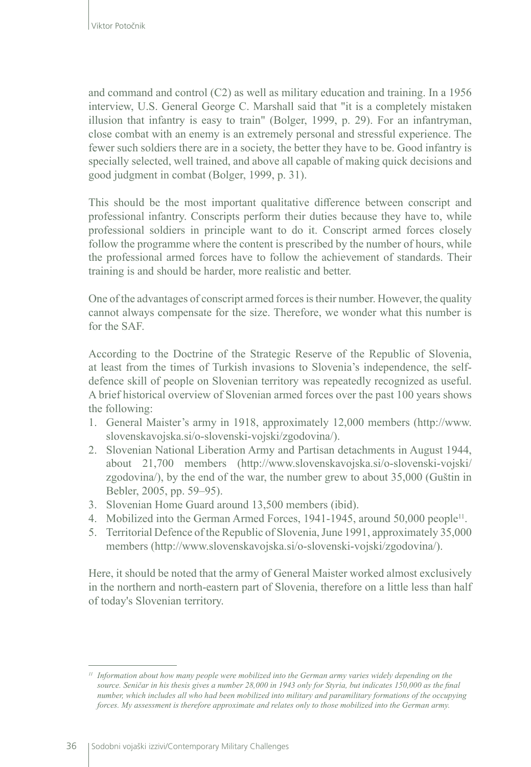and command and control (C2) as well as military education and training. In a 1956 interview, U.S. General George C. Marshall said that "it is a completely mistaken illusion that infantry is easy to train" (Bolger, 1999, p. 29). For an infantryman, close combat with an enemy is an extremely personal and stressful experience. The fewer such soldiers there are in a society, the better they have to be. Good infantry is specially selected, well trained, and above all capable of making quick decisions and good judgment in combat (Bolger, 1999, p. 31).

This should be the most important qualitative difference between conscript and professional infantry. Conscripts perform their duties because they have to, while professional soldiers in principle want to do it. Conscript armed forces closely follow the programme where the content is prescribed by the number of hours, while the professional armed forces have to follow the achievement of standards. Their training is and should be harder, more realistic and better.

One of the advantages of conscript armed forces is their number. However, the quality cannot always compensate for the size. Therefore, we wonder what this number is for the SAF.

According to the Doctrine of the Strategic Reserve of the Republic of Slovenia, at least from the times of Turkish invasions to Slovenia's independence, the selfdefence skill of people on Slovenian territory was repeatedly recognized as useful. A brief historical overview of Slovenian armed forces over the past 100 years shows the following:

- 1. General Maister's army in 1918, approximately 12,000 members (http://www. slovenskavojska.si/o-slovenski-vojski/zgodovina/).
- 2. Slovenian National Liberation Army and Partisan detachments in August 1944, about 21,700 members (http://www.slovenskavojska.si/o-slovenski-vojski/ zgodovina/), by the end of the war, the number grew to about 35,000 (Guštin in Bebler, 2005, pp. 59–95).
- 3. Slovenian Home Guard around 13,500 members (ibid).
- 4. Mobilized into the German Armed Forces, 1941-1945, around 50,000 people<sup>11</sup>.
- 5. Territorial Defence of the Republic of Slovenia, June 1991, approximately 35,000 members (http://www.slovenskavojska.si/o-slovenski-vojski/zgodovina/).

Here, it should be noted that the army of General Maister worked almost exclusively in the northern and north-eastern part of Slovenia, therefore on a little less than half of today's Slovenian territory.

*<sup>11</sup> Information about how many people were mobilized into the German army varies widely depending on the source. Seničar in his thesis gives a number 28,000 in 1943 only for Styria, but indicates 150,000 as the final number, which includes all who had been mobilized into military and paramilitary formations of the occupying forces. My assessment is therefore approximate and relates only to those mobilized into the German army.*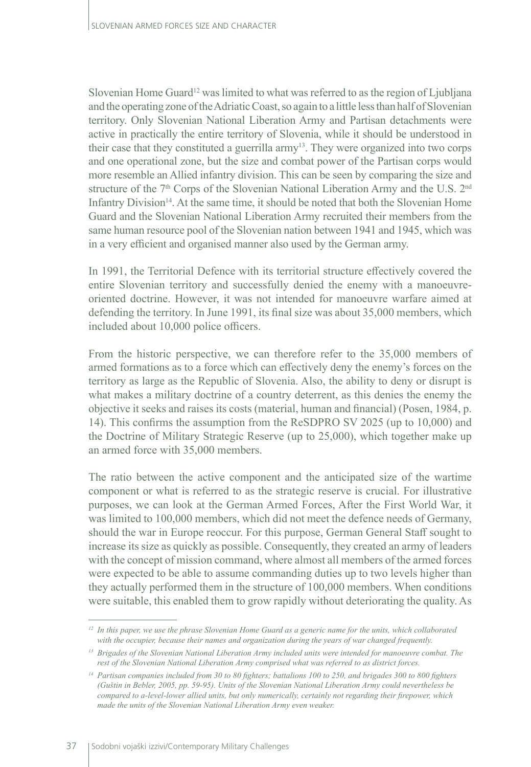Slovenian Home Guard<sup>12</sup> was limited to what was referred to as the region of Ljubljana and the operating zone of the Adriatic Coast, so again to a little less than half of Slovenian territory. Only Slovenian National Liberation Army and Partisan detachments were active in practically the entire territory of Slovenia, while it should be understood in their case that they constituted a guerrilla army<sup>13</sup>. They were organized into two corps and one operational zone, but the size and combat power of the Partisan corps would more resemble an Allied infantry division. This can be seen by comparing the size and structure of the 7<sup>th</sup> Corps of the Slovenian National Liberation Army and the U.S. 2<sup>nd</sup> Infantry Division<sup>14</sup>. At the same time, it should be noted that both the Slovenian Home Guard and the Slovenian National Liberation Army recruited their members from the same human resource pool of the Slovenian nation between 1941 and 1945, which was in a very efficient and organised manner also used by the German army.

In 1991, the Territorial Defence with its territorial structure effectively covered the entire Slovenian territory and successfully denied the enemy with a manoeuvreoriented doctrine. However, it was not intended for manoeuvre warfare aimed at defending the territory. In June 1991, its final size was about 35,000 members, which included about 10,000 police officers.

From the historic perspective, we can therefore refer to the 35,000 members of armed formations as to a force which can effectively deny the enemy's forces on the territory as large as the Republic of Slovenia. Also, the ability to deny or disrupt is what makes a military doctrine of a country deterrent, as this denies the enemy the objective it seeks and raises its costs (material, human and financial) (Posen, 1984, p. 14). This confirms the assumption from the ReSDPRO SV 2025 (up to 10,000) and the Doctrine of Military Strategic Reserve (up to 25,000), which together make up an armed force with 35,000 members.

The ratio between the active component and the anticipated size of the wartime component or what is referred to as the strategic reserve is crucial. For illustrative purposes, we can look at the German Armed Forces, After the First World War, it was limited to 100,000 members, which did not meet the defence needs of Germany, should the war in Europe reoccur. For this purpose, German General Staff sought to increase its size as quickly as possible. Consequently, they created an army of leaders with the concept of mission command, where almost all members of the armed forces were expected to be able to assume commanding duties up to two levels higher than they actually performed them in the structure of 100,000 members. When conditions were suitable, this enabled them to grow rapidly without deteriorating the quality. As

*<sup>12</sup> In this paper, we use the phrase Slovenian Home Guard as a generic name for the units, which collaborated with the occupier, because their names and organization during the years of war changed frequently.*

*<sup>13</sup> Brigades of the Slovenian National Liberation Army included units were intended for manoeuvre combat. The rest of the Slovenian National Liberation Army comprised what was referred to as district forces.*

*<sup>14</sup> Partisan companies included from 30 to 80 fighters; battalions 100 to 250, and brigades 300 to 800 fighters (Guštin in Bebler, 2005, pp. 59-95). Units of the Slovenian National Liberation Army could nevertheless be compared to a-level-lower allied units, but only numerically, certainly not regarding their firepower, which made the units of the Slovenian National Liberation Army even weaker.*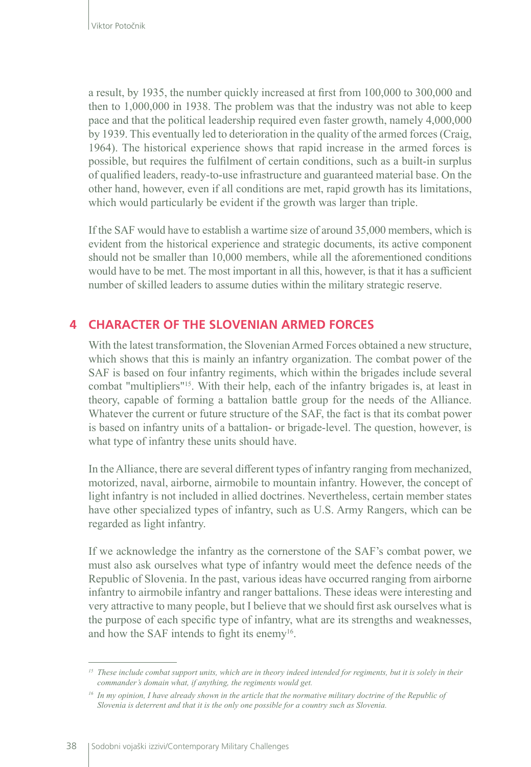a result, by 1935, the number quickly increased at first from 100,000 to 300,000 and then to 1,000,000 in 1938. The problem was that the industry was not able to keep pace and that the political leadership required even faster growth, namely 4,000,000 by 1939. This eventually led to deterioration in the quality of the armed forces (Craig, 1964). The historical experience shows that rapid increase in the armed forces is possible, but requires the fulfilment of certain conditions, such as a built-in surplus of qualified leaders, ready-to-use infrastructure and guaranteed material base. On the other hand, however, even if all conditions are met, rapid growth has its limitations, which would particularly be evident if the growth was larger than triple.

If the SAF would have to establish a wartime size of around 35,000 members, which is evident from the historical experience and strategic documents, its active component should not be smaller than 10,000 members, while all the aforementioned conditions would have to be met. The most important in all this, however, is that it has a sufficient number of skilled leaders to assume duties within the military strategic reserve.

## **4 CHARACTER OF THE SLOVENIAN ARMED FORCES**

With the latest transformation, the Slovenian Armed Forces obtained a new structure, which shows that this is mainly an infantry organization. The combat power of the SAF is based on four infantry regiments, which within the brigades include several combat "multipliers"<sup>15</sup>. With their help, each of the infantry brigades is, at least in theory, capable of forming a battalion battle group for the needs of the Alliance. Whatever the current or future structure of the SAF, the fact is that its combat power is based on infantry units of a battalion- or brigade-level. The question, however, is what type of infantry these units should have.

In the Alliance, there are several different types of infantry ranging from mechanized, motorized, naval, airborne, airmobile to mountain infantry. However, the concept of light infantry is not included in allied doctrines. Nevertheless, certain member states have other specialized types of infantry, such as U.S. Army Rangers, which can be regarded as light infantry.

If we acknowledge the infantry as the cornerstone of the SAF's combat power, we must also ask ourselves what type of infantry would meet the defence needs of the Republic of Slovenia. In the past, various ideas have occurred ranging from airborne infantry to airmobile infantry and ranger battalions. These ideas were interesting and very attractive to many people, but I believe that we should first ask ourselves what is the purpose of each specific type of infantry, what are its strengths and weaknesses, and how the SAF intends to fight its enemy<sup>16</sup>.

*<sup>15</sup> These include combat support units, which are in theory indeed intended for regiments, but it is solely in their commander's domain what, if anything, the regiments would get.*

<sup>&</sup>lt;sup>16</sup> In my opinion, I have already shown in the article that the normative military doctrine of the Republic of *Slovenia is deterrent and that it is the only one possible for a country such as Slovenia.*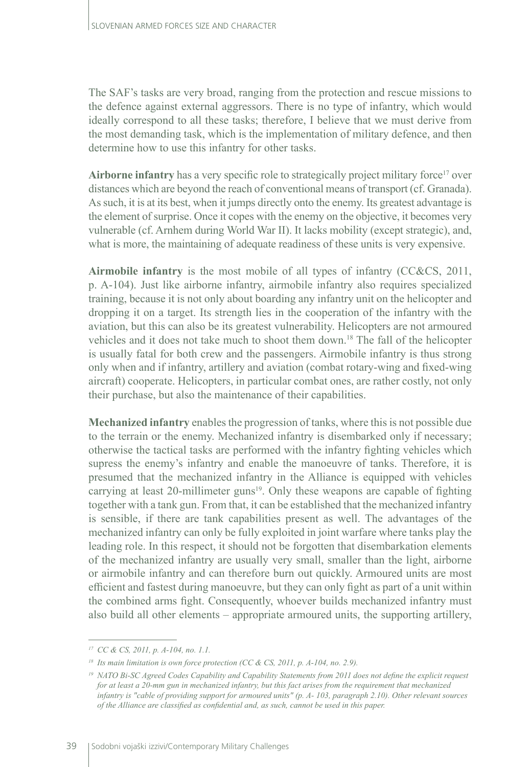The SAF's tasks are very broad, ranging from the protection and rescue missions to the defence against external aggressors. There is no type of infantry, which would ideally correspond to all these tasks; therefore, I believe that we must derive from the most demanding task, which is the implementation of military defence, and then determine how to use this infantry for other tasks.

Airborne infantry has a very specific role to strategically project military force<sup>17</sup> over distances which are beyond the reach of conventional means of transport (cf. Granada). As such, it is at its best, when it jumps directly onto the enemy. Its greatest advantage is the element of surprise. Once it copes with the enemy on the objective, it becomes very vulnerable (cf. Arnhem during World War II). It lacks mobility (except strategic), and, what is more, the maintaining of adequate readiness of these units is very expensive.

**Airmobile infantry** is the most mobile of all types of infantry (CC&CS, 2011, p. A-104). Just like airborne infantry, airmobile infantry also requires specialized training, because it is not only about boarding any infantry unit on the helicopter and dropping it on a target. Its strength lies in the cooperation of the infantry with the aviation, but this can also be its greatest vulnerability. Helicopters are not armoured vehicles and it does not take much to shoot them down.<sup>18</sup> The fall of the helicopter is usually fatal for both crew and the passengers. Airmobile infantry is thus strong only when and if infantry, artillery and aviation (combat rotary-wing and fixed-wing aircraft) cooperate. Helicopters, in particular combat ones, are rather costly, not only their purchase, but also the maintenance of their capabilities.

**Mechanized infantry** enables the progression of tanks, where this is not possible due to the terrain or the enemy. Mechanized infantry is disembarked only if necessary; otherwise the tactical tasks are performed with the infantry fighting vehicles which supress the enemy's infantry and enable the manoeuvre of tanks. Therefore, it is presumed that the mechanized infantry in the Alliance is equipped with vehicles carrying at least 20-millimeter guns<sup>19</sup>. Only these weapons are capable of fighting together with a tank gun. From that, it can be established that the mechanized infantry is sensible, if there are tank capabilities present as well. The advantages of the mechanized infantry can only be fully exploited in joint warfare where tanks play the leading role. In this respect, it should not be forgotten that disembarkation elements of the mechanized infantry are usually very small, smaller than the light, airborne or airmobile infantry and can therefore burn out quickly. Armoured units are most efficient and fastest during manoeuvre, but they can only fight as part of a unit within the combined arms fight. Consequently, whoever builds mechanized infantry must also build all other elements – appropriate armoured units, the supporting artillery,

*<sup>17</sup> CC & CS, 2011, p. A-104, no. 1.1.*

*<sup>18</sup> Its main limitation is own force protection (CC & CS, 2011, p. A-104, no. 2.9).*

*<sup>19</sup> NATO Bi-SC Agreed Codes Capability and Capability Statements from 2011 does not define the explicit request for at least a 20-mm gun in mechanized infantry, but this fact arises from the requirement that mechanized infantry is "cable of providing support for armoured units" (p. A-103, paragraph 2.10). Other relevant sources of the Alliance are classified as confidential and, as such, cannot be used in this paper.*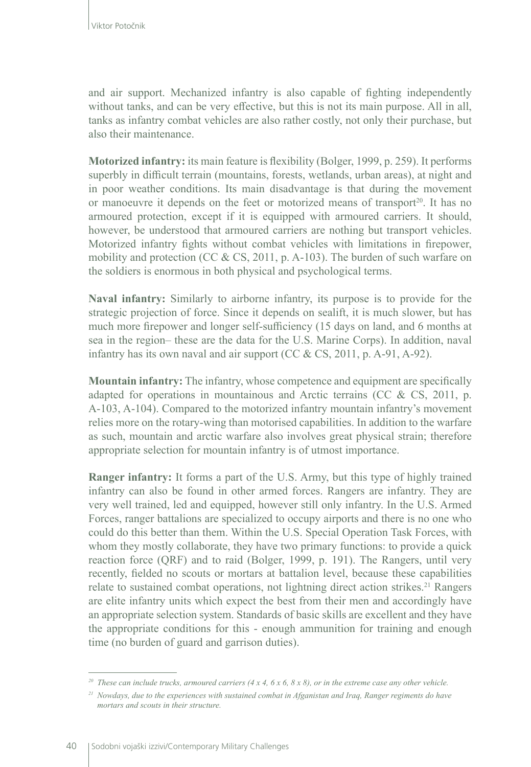and air support. Mechanized infantry is also capable of fighting independently without tanks, and can be very effective, but this is not its main purpose. All in all, tanks as infantry combat vehicles are also rather costly, not only their purchase, but also their maintenance.

**Motorized infantry:** its main feature is flexibility (Bolger, 1999, p. 259). It performs superbly in difficult terrain (mountains, forests, wetlands, urban areas), at night and in poor weather conditions. Its main disadvantage is that during the movement or manoeuvre it depends on the feet or motorized means of transport<sup>20</sup>. It has no armoured protection, except if it is equipped with armoured carriers. It should, however, be understood that armoured carriers are nothing but transport vehicles. Motorized infantry fights without combat vehicles with limitations in firepower, mobility and protection (CC & CS, 2011, p. A-103). The burden of such warfare on the soldiers is enormous in both physical and psychological terms.

**Naval infantry:** Similarly to airborne infantry, its purpose is to provide for the strategic projection of force. Since it depends on sealift, it is much slower, but has much more firepower and longer self-sufficiency (15 days on land, and 6 months at sea in the region– these are the data for the U.S. Marine Corps). In addition, naval infantry has its own naval and air support (CC & CS, 2011, p. A-91, A-92).

**Mountain infantry:** The infantry, whose competence and equipment are specifically adapted for operations in mountainous and Arctic terrains (CC & CS, 2011, p. A-103, A-104). Compared to the motorized infantry mountain infantry's movement relies more on the rotary-wing than motorised capabilities. In addition to the warfare as such, mountain and arctic warfare also involves great physical strain; therefore appropriate selection for mountain infantry is of utmost importance.

**Ranger infantry:** It forms a part of the U.S. Army, but this type of highly trained infantry can also be found in other armed forces. Rangers are infantry. They are very well trained, led and equipped, however still only infantry. In the U.S. Armed Forces, ranger battalions are specialized to occupy airports and there is no one who could do this better than them. Within the U.S. Special Operation Task Forces, with whom they mostly collaborate, they have two primary functions: to provide a quick reaction force (QRF) and to raid (Bolger, 1999, p. 191). The Rangers, until very recently, fielded no scouts or mortars at battalion level, because these capabilities relate to sustained combat operations, not lightning direct action strikes.<sup>21</sup> Rangers are elite infantry units which expect the best from their men and accordingly have an appropriate selection system. Standards of basic skills are excellent and they have the appropriate conditions for this - enough ammunition for training and enough time (no burden of guard and garrison duties).

*<sup>20</sup> These can include trucks, armoured carriers (4 x 4, 6 x 6, 8 x 8), or in the extreme case any other vehicle.*

*<sup>21</sup> Nowdays, due to the experiences with sustained combat in Afganistan and Iraq, Ranger regiments do have mortars and scouts in their structure.*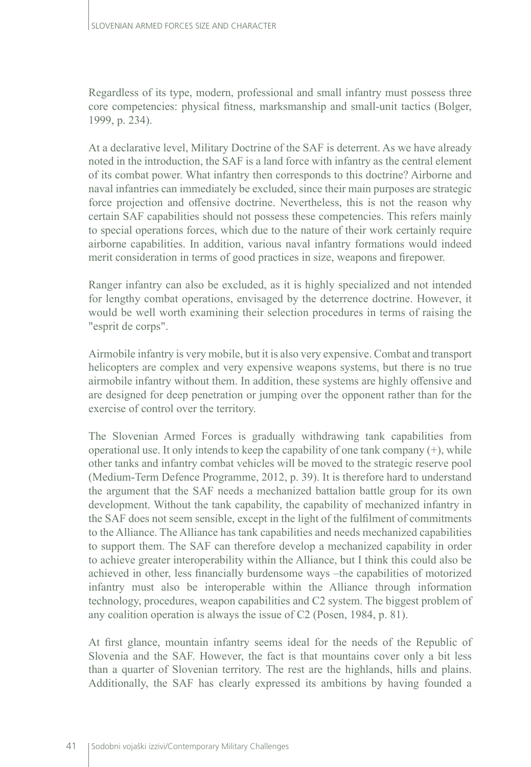Regardless of its type, modern, professional and small infantry must possess three core competencies: physical fitness, marksmanship and small-unit tactics (Bolger, 1999, p. 234).

At a declarative level, Military Doctrine of the SAF is deterrent. As we have already noted in the introduction, the SAF is a land force with infantry as the central element of its combat power. What infantry then corresponds to this doctrine? Airborne and naval infantries can immediately be excluded, since their main purposes are strategic force projection and offensive doctrine. Nevertheless, this is not the reason why certain SAF capabilities should not possess these competencies. This refers mainly to special operations forces, which due to the nature of their work certainly require airborne capabilities. In addition, various naval infantry formations would indeed merit consideration in terms of good practices in size, weapons and firepower.

Ranger infantry can also be excluded, as it is highly specialized and not intended for lengthy combat operations, envisaged by the deterrence doctrine. However, it would be well worth examining their selection procedures in terms of raising the "esprit de corps".

Airmobile infantry is very mobile, but it is also very expensive. Combat and transport helicopters are complex and very expensive weapons systems, but there is no true airmobile infantry without them. In addition, these systems are highly offensive and are designed for deep penetration or jumping over the opponent rather than for the exercise of control over the territory.

The Slovenian Armed Forces is gradually withdrawing tank capabilities from operational use. It only intends to keep the capability of one tank company  $(+)$ , while other tanks and infantry combat vehicles will be moved to the strategic reserve pool (Medium-Term Defence Programme, 2012, p. 39). It is therefore hard to understand the argument that the SAF needs a mechanized battalion battle group for its own development. Without the tank capability, the capability of mechanized infantry in the SAF does not seem sensible, except in the light of the fulfilment of commitments to the Alliance. The Alliance has tank capabilities and needs mechanized capabilities to support them. The SAF can therefore develop a mechanized capability in order to achieve greater interoperability within the Alliance, but I think this could also be achieved in other, less financially burdensome ways –the capabilities of motorized infantry must also be interoperable within the Alliance through information technology, procedures, weapon capabilities and C2 system. The biggest problem of any coalition operation is always the issue of C2 (Posen, 1984, p. 81).

At first glance, mountain infantry seems ideal for the needs of the Republic of Slovenia and the SAF. However, the fact is that mountains cover only a bit less than a quarter of Slovenian territory. The rest are the highlands, hills and plains. Additionally, the SAF has clearly expressed its ambitions by having founded a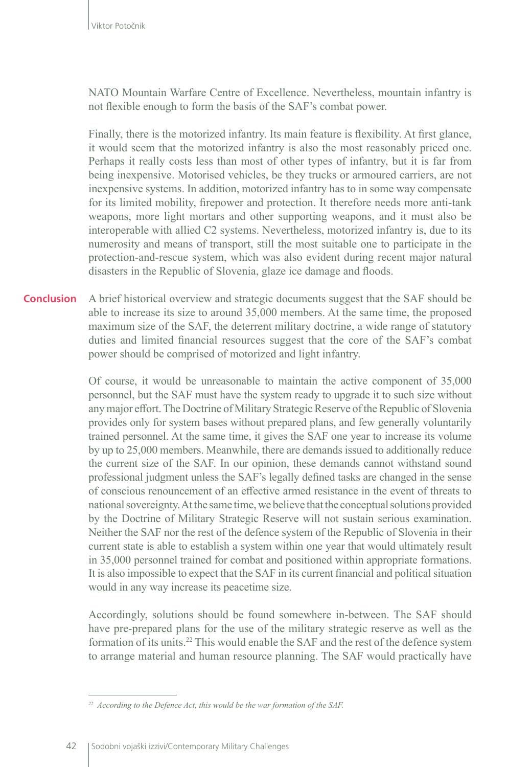NATO Mountain Warfare Centre of Excellence. Nevertheless, mountain infantry is not flexible enough to form the basis of the SAF's combat power.

Finally, there is the motorized infantry. Its main feature is flexibility. At first glance, it would seem that the motorized infantry is also the most reasonably priced one. Perhaps it really costs less than most of other types of infantry, but it is far from being inexpensive. Motorised vehicles, be they trucks or armoured carriers, are not inexpensive systems. In addition, motorized infantry has to in some way compensate for its limited mobility, firepower and protection. It therefore needs more anti-tank weapons, more light mortars and other supporting weapons, and it must also be interoperable with allied C2 systems. Nevertheless, motorized infantry is, due to its numerosity and means of transport, still the most suitable one to participate in the protection-and-rescue system, which was also evident during recent major natural disasters in the Republic of Slovenia, glaze ice damage and floods.

A brief historical overview and strategic documents suggest that the SAF should be able to increase its size to around 35,000 members. At the same time, the proposed maximum size of the SAF, the deterrent military doctrine, a wide range of statutory duties and limited financial resources suggest that the core of the SAF's combat power should be comprised of motorized and light infantry. **Conclusion**

> Of course, it would be unreasonable to maintain the active component of 35,000 personnel, but the SAF must have the system ready to upgrade it to such size without any major effort. The Doctrine of Military Strategic Reserve of the Republic of Slovenia provides only for system bases without prepared plans, and few generally voluntarily trained personnel. At the same time, it gives the SAF one year to increase its volume by up to 25,000 members. Meanwhile, there are demands issued to additionally reduce the current size of the SAF. In our opinion, these demands cannot withstand sound professional judgment unless the SAF's legally defined tasks are changed in the sense of conscious renouncement of an effective armed resistance in the event of threats to national sovereignty. At the same time, we believe that the conceptual solutions provided by the Doctrine of Military Strategic Reserve will not sustain serious examination. Neither the SAF nor the rest of the defence system of the Republic of Slovenia in their current state is able to establish a system within one year that would ultimately result in 35,000 personnel trained for combat and positioned within appropriate formations. It is also impossible to expect that the SAF in its current financial and political situation would in any way increase its peacetime size.

> Accordingly, solutions should be found somewhere in-between. The SAF should have pre-prepared plans for the use of the military strategic reserve as well as the formation of its units.<sup>22</sup> This would enable the SAF and the rest of the defence system to arrange material and human resource planning. The SAF would practically have

*<sup>22</sup> According to the Defence Act, this would be the war formation of the SAF.*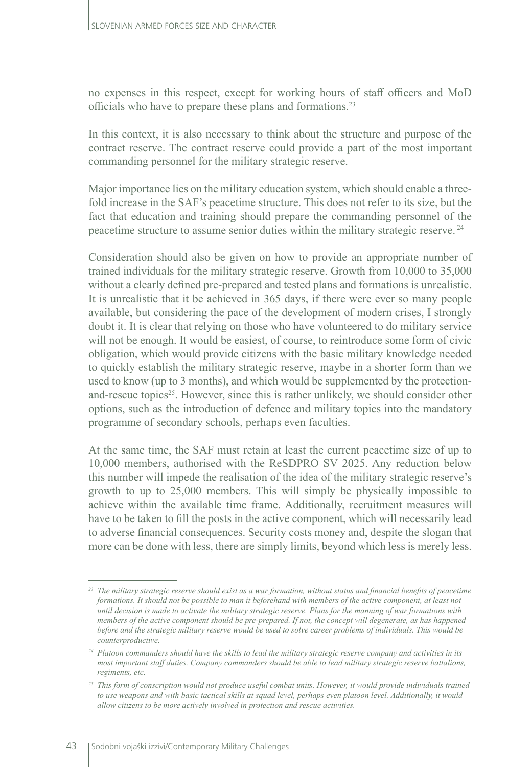no expenses in this respect, except for working hours of staff officers and MoD officials who have to prepare these plans and formations.23

In this context, it is also necessary to think about the structure and purpose of the contract reserve. The contract reserve could provide a part of the most important commanding personnel for the military strategic reserve.

Major importance lies on the military education system, which should enable a threefold increase in the SAF's peacetime structure. This does not refer to its size, but the fact that education and training should prepare the commanding personnel of the peacetime structure to assume senior duties within the military strategic reserve. <sup>24</sup>

Consideration should also be given on how to provide an appropriate number of trained individuals for the military strategic reserve. Growth from 10,000 to 35,000 without a clearly defined pre-prepared and tested plans and formations is unrealistic. It is unrealistic that it be achieved in 365 days, if there were ever so many people available, but considering the pace of the development of modern crises, I strongly doubt it. It is clear that relying on those who have volunteered to do military service will not be enough. It would be easiest, of course, to reintroduce some form of civic obligation, which would provide citizens with the basic military knowledge needed to quickly establish the military strategic reserve, maybe in a shorter form than we used to know (up to 3 months), and which would be supplemented by the protectionand-rescue topics<sup>25</sup>. However, since this is rather unlikely, we should consider other options, such as the introduction of defence and military topics into the mandatory programme of secondary schools, perhaps even faculties.

At the same time, the SAF must retain at least the current peacetime size of up to 10,000 members, authorised with the ReSDPRO SV 2025. Any reduction below this number will impede the realisation of the idea of the military strategic reserve's growth to up to 25,000 members. This will simply be physically impossible to achieve within the available time frame. Additionally, recruitment measures will have to be taken to fill the posts in the active component, which will necessarily lead to adverse financial consequences. Security costs money and, despite the slogan that more can be done with less, there are simply limits, beyond which less is merely less.

*<sup>23</sup> The military strategic reserve should exist as a war formation, without status and financial benefits of peacetime formations. It should not be possible to man it beforehand with members of the active component, at least not until decision is made to activate the military strategic reserve. Plans for the manning of war formations with members of the active component should be pre-prepared. If not, the concept will degenerate, as has happened before and the strategic military reserve would be used to solve career problems of individuals. This would be counterproductive.*

*<sup>24</sup> Platoon commanders should have the skills to lead the military strategic reserve company and activities in its most important staff duties. Company commanders should be able to lead military strategic reserve battalions, regiments, etc.* 

<sup>&</sup>lt;sup>25</sup> This form of conscription would not produce useful combat units. However, it would provide individuals trained *to use weapons and with basic tactical skills at squad level, perhaps even platoon level. Additionally, it would allow citizens to be more actively involved in protection and rescue activities.*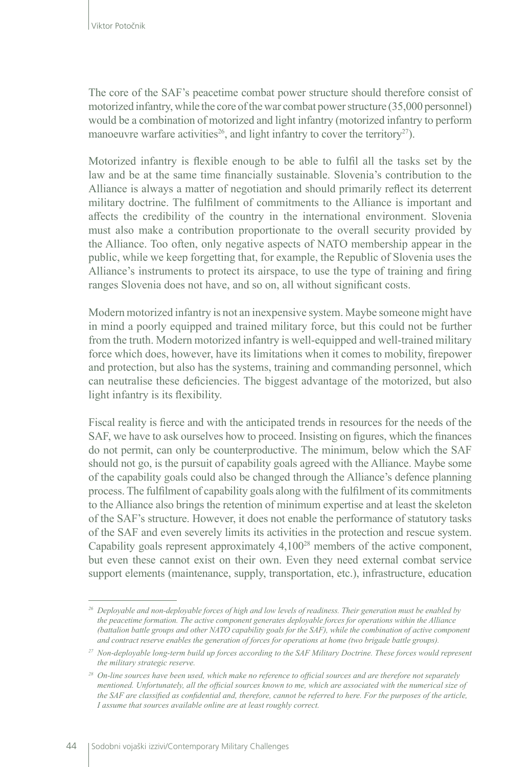The core of the SAF's peacetime combat power structure should therefore consist of motorized infantry, while the core of the war combat power structure (35,000 personnel) would be a combination of motorized and light infantry (motorized infantry to perform manoeuvre warfare activities<sup>26</sup>, and light infantry to cover the territory<sup>27</sup>).

Motorized infantry is flexible enough to be able to fulfil all the tasks set by the law and be at the same time financially sustainable. Slovenia's contribution to the Alliance is always a matter of negotiation and should primarily reflect its deterrent military doctrine. The fulfilment of commitments to the Alliance is important and affects the credibility of the country in the international environment. Slovenia must also make a contribution proportionate to the overall security provided by the Alliance. Too often, only negative aspects of NATO membership appear in the public, while we keep forgetting that, for example, the Republic of Slovenia uses the Alliance's instruments to protect its airspace, to use the type of training and firing ranges Slovenia does not have, and so on, all without significant costs.

Modern motorized infantry is not an inexpensive system. Maybe someone might have in mind a poorly equipped and trained military force, but this could not be further from the truth. Modern motorized infantry is well-equipped and well-trained military force which does, however, have its limitations when it comes to mobility, firepower and protection, but also has the systems, training and commanding personnel, which can neutralise these deficiencies. The biggest advantage of the motorized, but also light infantry is its flexibility.

Fiscal reality is fierce and with the anticipated trends in resources for the needs of the SAF, we have to ask ourselves how to proceed. Insisting on figures, which the finances do not permit, can only be counterproductive. The minimum, below which the SAF should not go, is the pursuit of capability goals agreed with the Alliance. Maybe some of the capability goals could also be changed through the Alliance's defence planning process. The fulfilment of capability goals along with the fulfilment of its commitments to the Alliance also brings the retention of minimum expertise and at least the skeleton of the SAF's structure. However, it does not enable the performance of statutory tasks of the SAF and even severely limits its activities in the protection and rescue system. Capability goals represent approximately  $4,100^{28}$  members of the active component, but even these cannot exist on their own. Even they need external combat service support elements (maintenance, supply, transportation, etc.), infrastructure, education

*<sup>26</sup> Deployable and non-deployable forces of high and low levels of readiness. Their generation must be enabled by the peacetime formation. The active component generates deployable forces for operations within the Alliance (battalion battle groups and other NATO capability goals for the SAF), while the combination of active component and contract reserve enables the generation of forces for operations at home (two brigade battle groups).*

*<sup>27</sup> Non-deployable long-term build up forces according to the SAF Military Doctrine. These forces would represent the military strategic reserve.*

*<sup>28</sup> On-line sources have been used, which make no reference to official sources and are therefore not separately mentioned. Unfortunately, all the official sources known to me, which are associated with the numerical size of the SAF are classified as confidential and, therefore, cannot be referred to here. For the purposes of the article, I assume that sources available online are at least roughly correct.*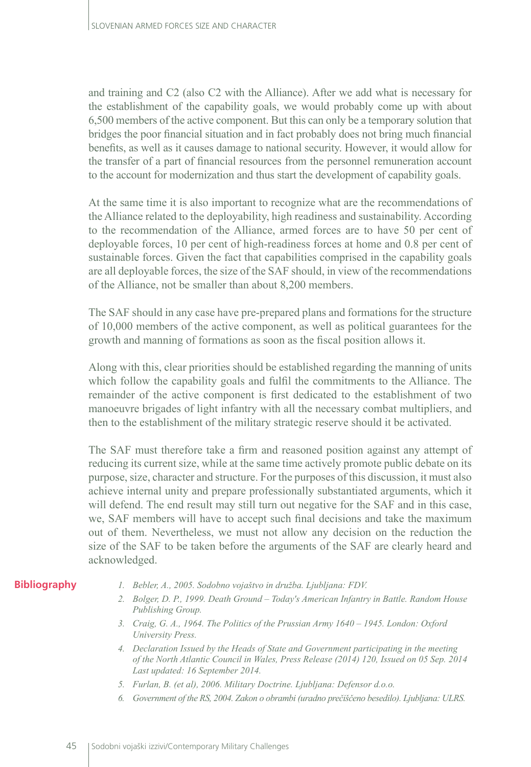and training and C2 (also C2 with the Alliance). After we add what is necessary for the establishment of the capability goals, we would probably come up with about 6,500 members of the active component. But this can only be a temporary solution that bridges the poor financial situation and in fact probably does not bring much financial benefits, as well as it causes damage to national security. However, it would allow for the transfer of a part of financial resources from the personnel remuneration account to the account for modernization and thus start the development of capability goals.

At the same time it is also important to recognize what are the recommendations of the Alliance related to the deployability, high readiness and sustainability. According to the recommendation of the Alliance, armed forces are to have 50 per cent of deployable forces, 10 per cent of high-readiness forces at home and 0.8 per cent of sustainable forces. Given the fact that capabilities comprised in the capability goals are all deployable forces, the size of the SAF should, in view of the recommendations of the Alliance, not be smaller than about 8,200 members.

The SAF should in any case have pre-prepared plans and formations for the structure of 10,000 members of the active component, as well as political guarantees for the growth and manning of formations as soon as the fiscal position allows it.

Along with this, clear priorities should be established regarding the manning of units which follow the capability goals and fulfil the commitments to the Alliance. The remainder of the active component is first dedicated to the establishment of two manoeuvre brigades of light infantry with all the necessary combat multipliers, and then to the establishment of the military strategic reserve should it be activated.

The SAF must therefore take a firm and reasoned position against any attempt of reducing its current size, while at the same time actively promote public debate on its purpose, size, character and structure. For the purposes of this discussion, it must also achieve internal unity and prepare professionally substantiated arguments, which it will defend. The end result may still turn out negative for the SAF and in this case, we, SAF members will have to accept such final decisions and take the maximum out of them. Nevertheless, we must not allow any decision on the reduction the size of the SAF to be taken before the arguments of the SAF are clearly heard and acknowledged.

### **Bibliography**

- *1. Bebler, A., 2005. Sodobno vojaštvo in družba. Ljubljana: FDV.*
- *2. Bolger, D. P., 1999. Death Ground Today's American Infantry in Battle. Random House Publishing Group.*
- *3. Craig, G. A., 1964. The Politics of the Prussian Army 1640 1945. London: Oxford University Press.*
- *4. Declaration Issued by the Heads of State and Government participating in the meeting of the North Atlantic Council in Wales, Press Release (2014) 120, Issued on 05 Sep. 2014 Last updated: 16 September 2014.*
- *5. Furlan, B. (et al), 2006. Military Doctrine. Ljubljana: Defensor d.o.o.*
- *6. Government of the RS, 2004. Zakon o obrambi (uradno prečiščeno besedilo). Ljubljana: ULRS.*